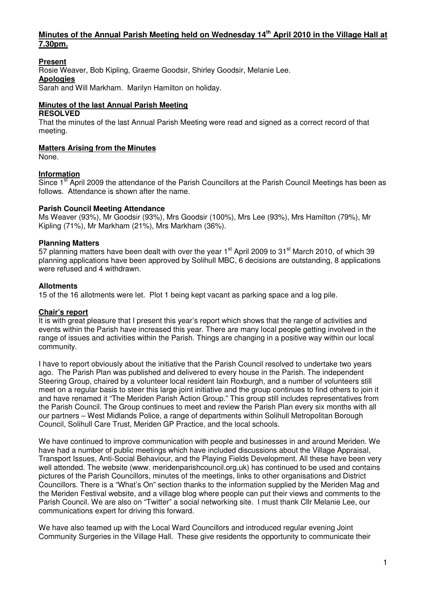## **Minutes of the Annual Parish Meeting held on Wednesday 14th April 2010 in the Village Hall at 7.30pm.**

## **Present**

Rosie Weaver, Bob Kipling, Graeme Goodsir, Shirley Goodsir, Melanie Lee.

## **Apologies**

Sarah and Will Markham. Marilyn Hamilton on holiday.

## **Minutes of the last Annual Parish Meeting**

#### **RESOLVED**

That the minutes of the last Annual Parish Meeting were read and signed as a correct record of that meeting.

#### **Matters Arising from the Minutes**

None.

#### **Information**

Since 1<sup>st</sup> April 2009 the attendance of the Parish Councillors at the Parish Council Meetings has been as follows. Attendance is shown after the name.

#### **Parish Council Meeting Attendance**

Ms Weaver (93%), Mr Goodsir (93%), Mrs Goodsir (100%), Mrs Lee (93%), Mrs Hamilton (79%), Mr Kipling (71%), Mr Markham (21%), Mrs Markham (36%).

## **Planning Matters**

57 planning matters have been dealt with over the year 1<sup>st</sup> April 2009 to 31<sup>st</sup> March 2010, of which 39 planning applications have been approved by Solihull MBC, 6 decisions are outstanding, 8 applications were refused and 4 withdrawn.

#### **Allotments**

15 of the 16 allotments were let. Plot 1 being kept vacant as parking space and a log pile.

#### **Chair's report**

It is with great pleasure that I present this year's report which shows that the range of activities and events within the Parish have increased this year. There are many local people getting involved in the range of issues and activities within the Parish. Things are changing in a positive way within our local community.

I have to report obviously about the initiative that the Parish Council resolved to undertake two years ago. The Parish Plan was published and delivered to every house in the Parish. The independent Steering Group, chaired by a volunteer local resident Iain Roxburgh, and a number of volunteers still meet on a regular basis to steer this large joint initiative and the group continues to find others to join it and have renamed it "The Meriden Parish Action Group." This group still includes representatives from the Parish Council. The Group continues to meet and review the Parish Plan every six months with all our partners – West Midlands Police, a range of departments within Solihull Metropolitan Borough Council, Solihull Care Trust, Meriden GP Practice, and the local schools.

We have continued to improve communication with people and businesses in and around Meriden. We have had a number of public meetings which have included discussions about the Village Appraisal, Transport Issues, Anti-Social Behaviour, and the Playing Fields Development. All these have been very well attended. The website (www. meridenparishcouncil.org.uk) has continued to be used and contains pictures of the Parish Councillors, minutes of the meetings, links to other organisations and District Councillors. There is a "What's On" section thanks to the information supplied by the Meriden Mag and the Meriden Festival website, and a village blog where people can put their views and comments to the Parish Council. We are also on "Twitter" a social networking site. I must thank Cllr Melanie Lee, our communications expert for driving this forward.

We have also teamed up with the Local Ward Councillors and introduced regular evening Joint Community Surgeries in the Village Hall. These give residents the opportunity to communicate their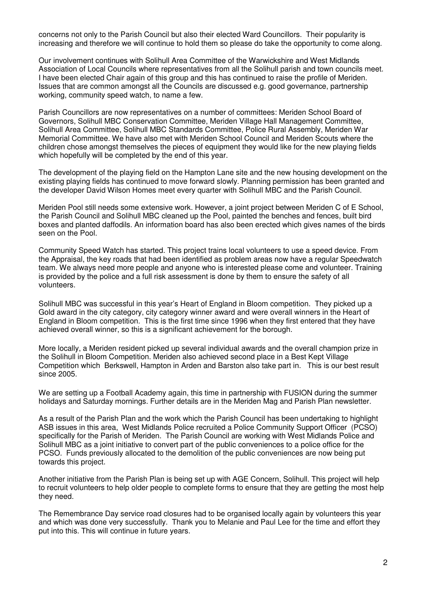concerns not only to the Parish Council but also their elected Ward Councillors. Their popularity is increasing and therefore we will continue to hold them so please do take the opportunity to come along.

Our involvement continues with Solihull Area Committee of the Warwickshire and West Midlands Association of Local Councils where representatives from all the Solihull parish and town councils meet. I have been elected Chair again of this group and this has continued to raise the profile of Meriden. Issues that are common amongst all the Councils are discussed e.g. good governance, partnership working, community speed watch, to name a few.

Parish Councillors are now representatives on a number of committees: Meriden School Board of Governors, Solihull MBC Conservation Committee, Meriden Village Hall Management Committee, Solihull Area Committee, Solihull MBC Standards Committee, Police Rural Assembly, Meriden War Memorial Committee. We have also met with Meriden School Council and Meriden Scouts where the children chose amongst themselves the pieces of equipment they would like for the new playing fields which hopefully will be completed by the end of this year.

The development of the playing field on the Hampton Lane site and the new housing development on the existing playing fields has continued to move forward slowly. Planning permission has been granted and the developer David Wilson Homes meet every quarter with Solihull MBC and the Parish Council.

Meriden Pool still needs some extensive work. However, a joint project between Meriden C of E School, the Parish Council and Solihull MBC cleaned up the Pool, painted the benches and fences, built bird boxes and planted daffodils. An information board has also been erected which gives names of the birds seen on the Pool.

Community Speed Watch has started. This project trains local volunteers to use a speed device. From the Appraisal, the key roads that had been identified as problem areas now have a regular Speedwatch team. We always need more people and anyone who is interested please come and volunteer. Training is provided by the police and a full risk assessment is done by them to ensure the safety of all volunteers.

Solihull MBC was successful in this year's Heart of England in Bloom competition. They picked up a Gold award in the city category, city category winner award and were overall winners in the Heart of England in Bloom competition. This is the first time since 1996 when they first entered that they have achieved overall winner, so this is a significant achievement for the borough.

More locally, a Meriden resident picked up several individual awards and the overall champion prize in the Solihull in Bloom Competition. Meriden also achieved second place in a Best Kept Village Competition which Berkswell, Hampton in Arden and Barston also take part in. This is our best result since 2005.

We are setting up a Football Academy again, this time in partnership with FUSION during the summer holidays and Saturday mornings. Further details are in the Meriden Mag and Parish Plan newsletter.

As a result of the Parish Plan and the work which the Parish Council has been undertaking to highlight ASB issues in this area, West Midlands Police recruited a Police Community Support Officer (PCSO) specifically for the Parish of Meriden. The Parish Council are working with West Midlands Police and Solihull MBC as a joint initiative to convert part of the public conveniences to a police office for the PCSO. Funds previously allocated to the demolition of the public conveniences are now being put towards this project.

Another initiative from the Parish Plan is being set up with AGE Concern, Solihull. This project will help to recruit volunteers to help older people to complete forms to ensure that they are getting the most help they need.

The Remembrance Day service road closures had to be organised locally again by volunteers this year and which was done very successfully. Thank you to Melanie and Paul Lee for the time and effort they put into this. This will continue in future years.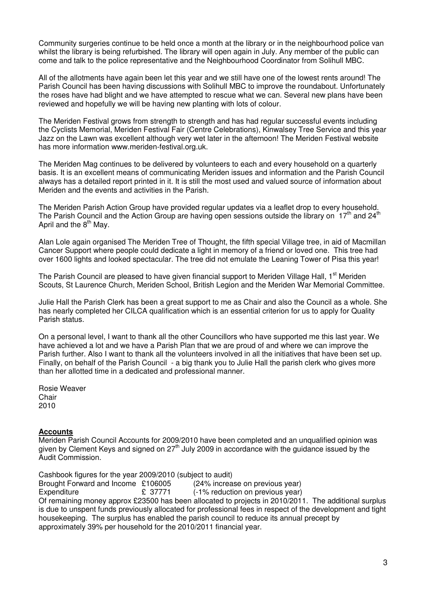Community surgeries continue to be held once a month at the library or in the neighbourhood police van whilst the library is being refurbished. The library will open again in July. Any member of the public can come and talk to the police representative and the Neighbourhood Coordinator from Solihull MBC.

All of the allotments have again been let this year and we still have one of the lowest rents around! The Parish Council has been having discussions with Solihull MBC to improve the roundabout. Unfortunately the roses have had blight and we have attempted to rescue what we can. Several new plans have been reviewed and hopefully we will be having new planting with lots of colour.

The Meriden Festival grows from strength to strength and has had regular successful events including the Cyclists Memorial, Meriden Festival Fair (Centre Celebrations), Kinwalsey Tree Service and this year Jazz on the Lawn was excellent although very wet later in the afternoon! The Meriden Festival website has more information www.meriden-festival.org.uk.

The Meriden Mag continues to be delivered by volunteers to each and every household on a quarterly basis. It is an excellent means of communicating Meriden issues and information and the Parish Council always has a detailed report printed in it. It is still the most used and valued source of information about Meriden and the events and activities in the Parish.

The Meriden Parish Action Group have provided regular updates via a leaflet drop to every household. The Parish Council and the Action Group are having open sessions outside the library on  $17<sup>th</sup>$  and 24<sup>th</sup> April and the  $8<sup>th</sup>$  May.

Alan Lole again organised The Meriden Tree of Thought, the fifth special Village tree, in aid of Macmillan Cancer Support where people could dedicate a light in memory of a friend or loved one. This tree had over 1600 lights and looked spectacular. The tree did not emulate the Leaning Tower of Pisa this year!

The Parish Council are pleased to have given financial support to Meriden Village Hall, 1<sup>st</sup> Meriden Scouts, St Laurence Church, Meriden School, British Legion and the Meriden War Memorial Committee.

Julie Hall the Parish Clerk has been a great support to me as Chair and also the Council as a whole. She has nearly completed her CILCA qualification which is an essential criterion for us to apply for Quality Parish status.

On a personal level, I want to thank all the other Councillors who have supported me this last year. We have achieved a lot and we have a Parish Plan that we are proud of and where we can improve the Parish further. Also I want to thank all the volunteers involved in all the initiatives that have been set up. Finally, on behalf of the Parish Council - a big thank you to Julie Hall the parish clerk who gives more than her allotted time in a dedicated and professional manner.

Rosie Weaver **Chair** 2010

#### **Accounts**

Meriden Parish Council Accounts for 2009/2010 have been completed and an unqualified opinion was given by Clement Keys and signed on  $27<sup>th</sup>$  July 2009 in accordance with the guidance issued by the Audit Commission.

Cashbook figures for the year 2009/2010 (subject to audit) Brought Forward and Income £106005 (24% increase on previous year) Expenditure **E** 37771 (-1% reduction on previous year) Of remaining money approx £23500 has been allocated to projects in 2010/2011. The additional surplus is due to unspent funds previously allocated for professional fees in respect of the development and tight housekeeping. The surplus has enabled the parish council to reduce its annual precept by approximately 39% per household for the 2010/2011 financial year.